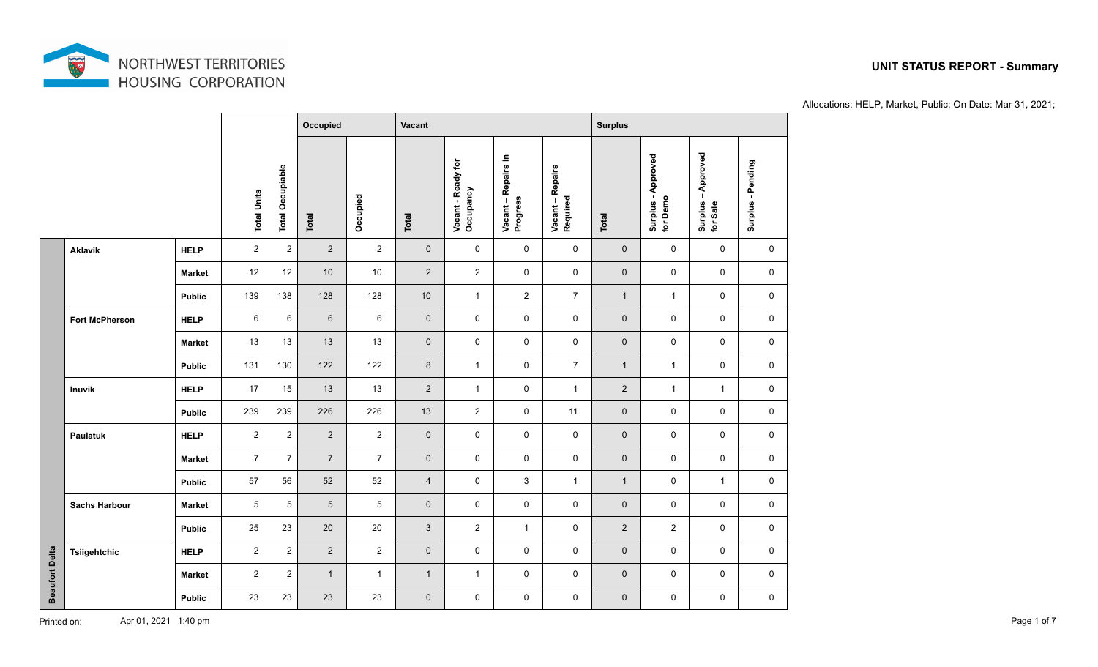

|                       |                       |                    |                         |                | Occupied       |                 | Vacant                          |                                 |                              |                | <b>Surplus</b>                 |                                |                   |                     |  |
|-----------------------|-----------------------|--------------------|-------------------------|----------------|----------------|-----------------|---------------------------------|---------------------------------|------------------------------|----------------|--------------------------------|--------------------------------|-------------------|---------------------|--|
|                       |                       | <b>Total Units</b> | <b>Total Occupiable</b> | Total          | Occupied       | Total           | Vacant - Ready for<br>Occupancy | Vacant – Repairs in<br>Progress | Vacant – Repairs<br>Required | Total          | Surplus - Approved<br>for Demo | Surplus – Approved<br>for Sale | Surplus - Pending |                     |  |
|                       | <b>Aklavik</b>        | <b>HELP</b>        | $\overline{c}$          | $\overline{c}$ | $\overline{2}$ | $\overline{2}$  | $\mathsf{O}\xspace$             | 0                               | $\mathbf 0$                  | 0              | $\mathbf 0$                    | 0                              | 0                 | 0                   |  |
| <b>Beaufort Delta</b> |                       | <b>Market</b>      | 12                      | 12             | 10             | 10              | $\overline{2}$                  | $\overline{2}$                  | $\mathbf 0$                  | $\mathbf 0$    | $\mathbf 0$                    | $\mathbf 0$                    | 0                 | 0                   |  |
|                       |                       | <b>Public</b>      | 139                     | 138            | 128            | 128             | $10$                            | $\mathbf{1}$                    | $\overline{2}$               | $\overline{7}$ | $\overline{1}$                 | $\mathbf{1}$                   | $\mathbf 0$       | $\mathbf 0$         |  |
|                       | <b>Fort McPherson</b> | <b>HELP</b>        | $\,6\,$                 | 6              | $6\phantom{1}$ | $\,6\,$         | $\mathsf{O}\xspace$             | $\mathbf 0$                     | $\mathbf 0$                  | $\mathbf 0$    | $\mathbf 0$                    | $\mathbf 0$                    | $\mathbf 0$       | 0                   |  |
|                       |                       | <b>Market</b>      | 13                      | 13             | 13             | 13              | $\mathbf 0$                     | $\mathbf 0$                     | $\mathbf 0$                  | $\mathbf 0$    | $\mathbf 0$                    | $\mathbf 0$                    | $\mathbf 0$       | $\mathbf 0$         |  |
|                       |                       | <b>Public</b>      | 131                     | 130            | 122            | 122             | $\bf 8$                         | $\mathbf{1}$                    | $\mathsf{O}\xspace$          | $\overline{7}$ | $\mathbf{1}$                   | $\mathbf{1}$                   | $\mathbf 0$       | $\mathbf 0$         |  |
|                       | Inuvik                | <b>HELP</b>        | 17                      | 15             | 13             | 13              | $\overline{2}$                  | $\mathbf{1}$                    | 0                            | $\mathbf{1}$   | $\overline{2}$                 | $\mathbf{1}$                   | $\mathbf{1}$      | 0                   |  |
|                       |                       | <b>Public</b>      | 239                     | 239            | 226            | 226             | 13                              | $\overline{2}$                  | $\mathbf 0$                  | 11             | $\pmb{0}$                      | $\mathbf 0$                    | $\mathbf 0$       | 0                   |  |
|                       | Paulatuk              | <b>HELP</b>        | $\overline{2}$          | $\overline{2}$ | $\overline{2}$ | $\overline{2}$  | $\mathbf 0$                     | $\mathbf 0$                     | $\mathbf 0$                  | $\mathbf 0$    | $\mathbf 0$                    | $\mathbf 0$                    | $\mathbf 0$       | 0                   |  |
|                       |                       | <b>Market</b>      | $\overline{7}$          | $\overline{7}$ | $\overline{7}$ | $\overline{7}$  | $\mathsf{O}\xspace$             | $\mathsf{O}\xspace$             | $\mathbf 0$                  | $\mathbf 0$    | $\mathbf 0$                    | $\mathsf{O}\xspace$            | $\mathbf 0$       | $\mathbf 0$         |  |
|                       |                       | <b>Public</b>      | 57                      | 56             | 52             | 52              | $\overline{4}$                  | $\mathsf{O}\xspace$             | $\mathsf 3$                  | $\mathbf{1}$   | $\overline{1}$                 | $\mathsf{O}\xspace$            | $\mathbf{1}$      | $\mathbf 0$         |  |
|                       | <b>Sachs Harbour</b>  | <b>Market</b>      | $\overline{5}$          | $\sqrt{5}$     | $\overline{5}$ | $5\phantom{.0}$ | $\mathsf{O}\xspace$             | $\mathbf 0$                     | 0                            | $\mathbf 0$    | $\mathbf 0$                    | $\mathbf 0$                    | $\mathbf 0$       | 0                   |  |
|                       |                       | <b>Public</b>      | 25                      | 23             | 20             | 20              | 3                               | $\overline{2}$                  | $\mathbf{1}$                 | $\mathbf 0$    | $\overline{2}$                 | $\overline{2}$                 | 0                 | 0                   |  |
|                       | Tsiigehtchic          | <b>HELP</b>        | $\overline{2}$          | $\overline{2}$ | $\overline{2}$ | $\overline{2}$  | $\mathsf{O}\xspace$             | $\mathbf 0$                     | 0                            | $\mathbf 0$    | $\mathbf 0$                    | $\mathbf 0$                    | 0                 | 0                   |  |
|                       |                       | <b>Market</b>      | $\overline{2}$          | $\overline{2}$ | $\mathbf{1}$   | $\mathbf{1}$    | $\overline{1}$                  | $\mathbf{1}$                    | 0                            | $\mathbf 0$    | $\mathbf 0$                    | $\mathbf 0$                    | $\mathbf 0$       | 0                   |  |
|                       |                       | <b>Public</b>      | 23                      | 23             | 23             | 23              | $\mathbf 0$                     | $\mathsf{O}\xspace$             | $\mathbf 0$                  | $\mathbf 0$    | $\mathbf 0$                    | $\mathbf 0$                    | $\mathbf 0$       | $\mathsf{O}\xspace$ |  |

#### **UNIT STATUS REPORT - Summary**

Allocations: HELP, Market, Public; On Date: Mar 31, 2021;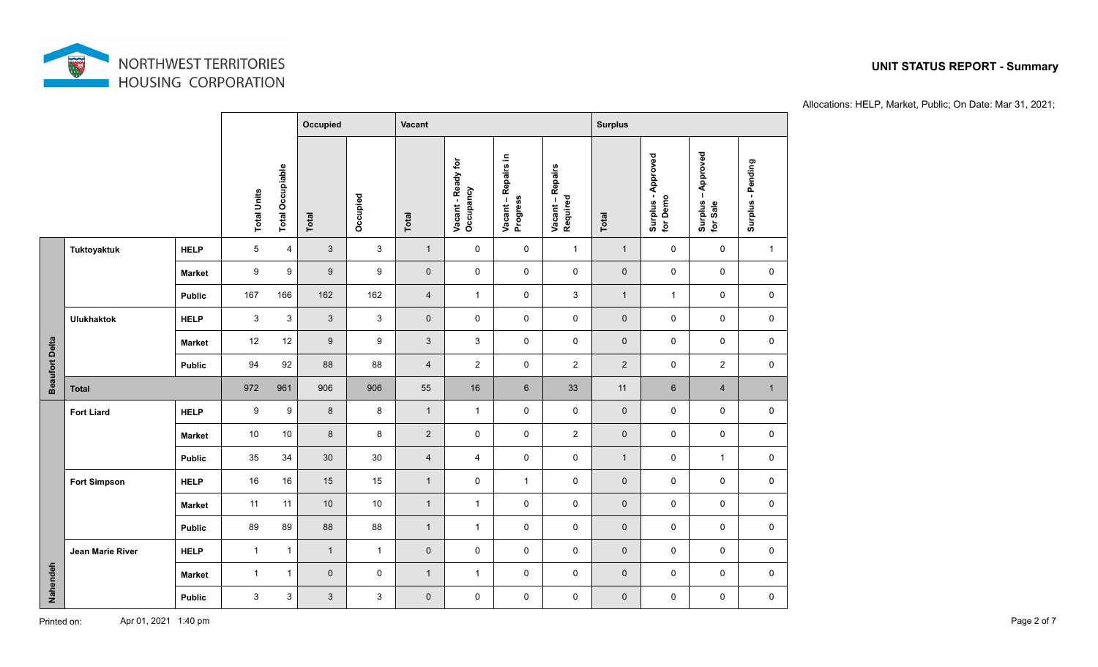

### **Occupied Vacant Vacant Surplus** Surplus – Approved<br>for Sale **for Demo Surplus – Approved Surplus - Approved Total**<br> **Occupied**<br> **Vacant - Ready for**<br> **Vacant – Repairs in Progress<br>
Progress<br>
Required<br>
Required** Surplus - Pending **Surplus - Pending Total Occupiable Total Occupiable Total Units Total Units Tuktoyaktuk HELP** 5 4 3 3 1 0 0 1 1 0 0 1 **Market** 9 9 9 9 0 0 0 0 0 0 0 0 **Public** | 167 166 | 162 | 162 | 4 | 1 | 0 | 3 | 1 | 1 | 0 | 0 **Ulukhaktok HELP** 3 3 3 3 0 0 0 0 0 0 0 0 **Beaufort Delta Beaufort Delta Market** | 12 12 | 9 | 9 | 3 | 3 | 0 | 0 | 0 | 0 | 0 | 0 | **Public** | 94 92 | 88 | 88 | 4 | 2 | 0 | 2 | 2 | 0 | 2 | 0 **Total** 972 961 906 906 55 16 6 33 11 6 4 1 **Fort Liard HELP** 9 9 8 8 1 1 0 0 0 0 0 0 **Market** | 10 10 | 8 | 8 | 2 | 0 | 0 | 2 | 0 | 0 | 0 | 0 | 0 **Public** | 35 34 | 30 | 30 | 4 | 4 | 0 | 0 | 1 | 0 | 1 | 0 **Fort Simpson | HELP** | 16 16 | 15 | 1 0 1 0 0 0 0 0 **Market** 11 11 10 10 1 1 0 0 0 0 0 0 **Public** | 89 89 | 88 | 88 | 1 | 1 | 0 | 0 | 0 | 0 | 0 | 0 | 0 **Jean Marie River HELP** 1 1 1 1 0 0 0 0 0 0 0 0 **Nahendeh Market** 1 1 0 0 1 1 0 0 0 0 0 0 **Public** 3 3 3 3 0 0 0 0 0 0 0 0

Allocations: HELP, Market, Public; On Date: Mar 31, 2021;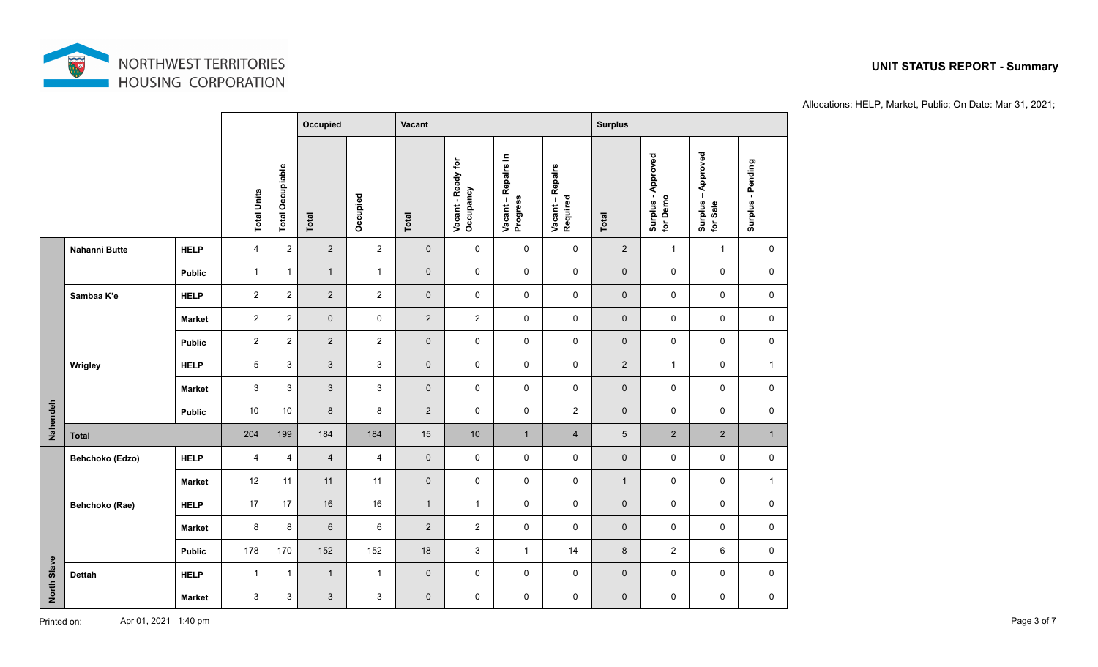

# **Occupied Vacant Vacant Surplus** Surplus – Approved<br>for Sale **for Demo Surplus – Approved Surplus - Approved Total**<br> **Occupied**<br> **Vacant - Ready for**<br> **Vacant – Repairs in Progress<br>
Progress<br>
Required<br>
Required** Surplus - Pending **Surplus - Pending Total Occupiable Total Occupiable Total Units Total Units Nahanni Butte HELP** 4 2 2 2 0 0 0 2 1 1 0 **Public** 1 1 1 1 0 0 0 0 0 0 0 0 **Sambaa K'e HELP** 2 2 2 2 0 0 0 0 0 0 0 0 **Market** 2 2 0 0 2 2 0 0 0 0 0 0 **Public** 2 2 2 2 0 0 0 0 0 0 0 0 **Wrigley HELP** 5 3 3 3 0 0 0 0 2 1 0 1 **Market** 3 3 3 3 0 0 0 0 0 0 0 0 **Nahendeh Public** | 10 10 | 8 | 8 | 2 | 0 | 0 | 2 | 0 | 0 | 0 | 0 | 0 **Total** 204 199 184 184 15 10 1 4 5 2 2 1 **Behchoko (Edzo) HELP** 4 4 4 4 0 0 0 0 0 0 0 0 **Market** 12 11 11 11 0 0 0 0 1 0 0 1 **Behchoko (Rae) HELP** 17 17 16 16 1 1 0 0 0 0 0 **Market** | 8 8 | 6 | 6 | 2 | 2 | 0 | 0 | 0 | 0 | 0 | 0 | **Public** | 178 170 | 152 | 152 | 18 | 3 | 1 | 14 | 8 | 2 | 6 | 0 **North Slave Dettah HELP** 1 1 1 1 0 0 0 0 0 0 0 0 **Market** 3 3 3 3 0 0 0 0 0 0 0 0

Allocations: HELP, Market, Public; On Date: Mar 31, 2021;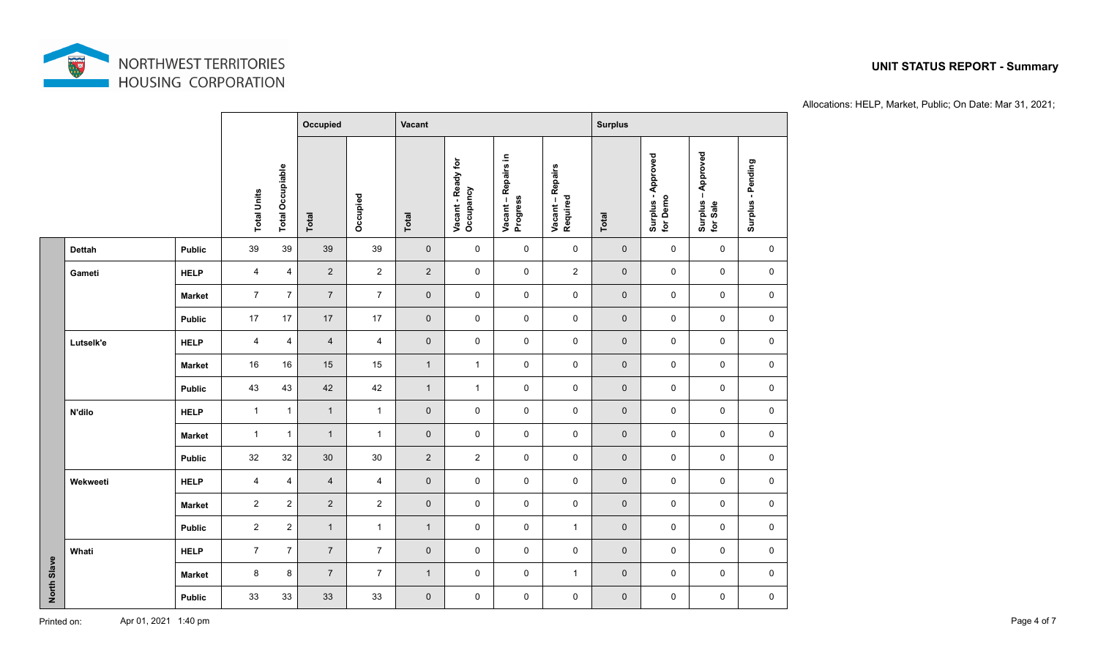

# **Occupied Vacant Vacant Surplus** Surplus – Approved<br>for Sale **for Demo Surplus – Approved Surplus - Approved Total**<br> **Occupied**<br> **Vacant - Ready for**<br> **Vacant – Repairs in Progress<br>
Progress<br>
Required<br>
Required** Surplus - Pending **Surplus - Pending Total Occupiable Total Occupiable Total Units Total Units Dettah Public** 39 39 39 39 0 0 0 0 0 0 0 0 **Gameti HELP** 4 4 2 2 2 0 0 2 0 0 0 0 **Market** 7 7 7 7 0 0 0 0 0 0 0 0 **Public** 17 17 17 17 0 0 0 0 0 0 0 0 **Lutselk'e HELP** 4 4 4 4 0 0 0 0 0 0 0 0 **Market** 16 16 15 15 1 1 0 0 0 0 0 0 **Public** | 43 43 | 42 | 42 | 1 | 1 | 0 | 0 | 0 | 0 | 0 | 0 | 0 **N'dilo HELP** 1 1 1 1 0 0 0 0 0 0 0 0 **Market** 1 1 1 1 0 0 0 0 0 0 0 0 **Public** | 32 32 | 30 | 30 | 2 | 2 | 0 | 0 | 0 | 0 | 0 | 0 | 0 **Wekweeti HELP** 4 4 4 4 0 0 0 0 0 0 0 0 **Market** 2 2 2 2 0 0 0 0 0 0 0 0 **Public** 2 2 1 1 1 0 0 1 0 0 0 0 **Whati HELP** 7 7 7 7 0 0 0 0 0 0 0 0 **North Slave Market** | 8 8 | 7 | 7 | 1 | 0 | 0 | 1 | 0 | 0 | 0 | 0 | **Public** 33 33 33 33 0 0 0 0 0 0 0 0

Allocations: HELP, Market, Public; On Date: Mar 31, 2021;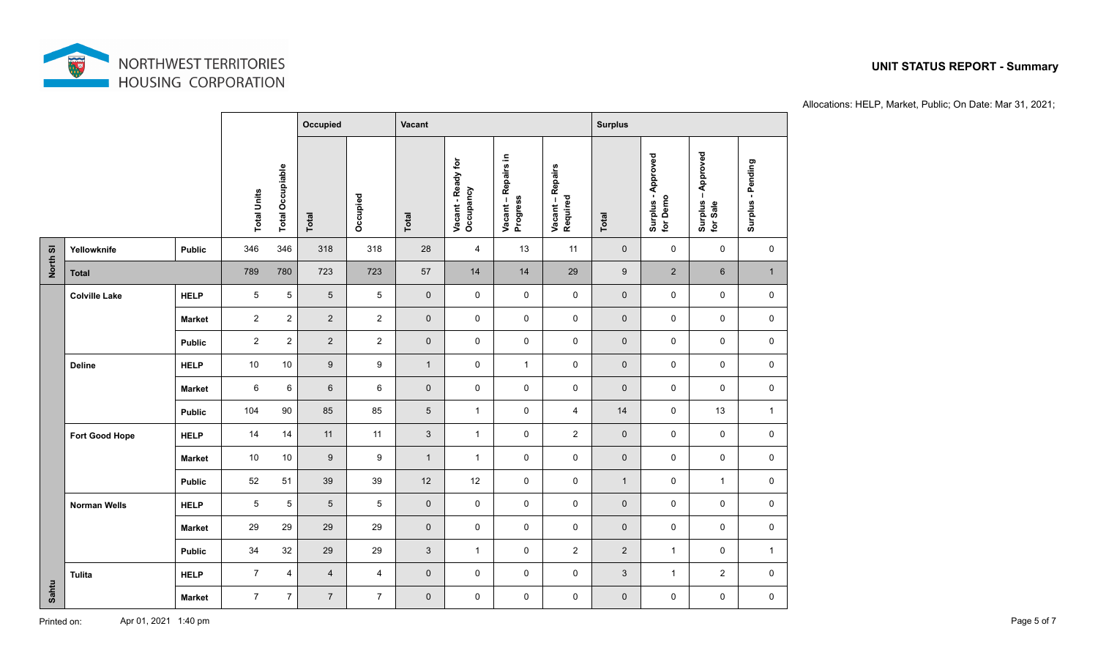

# **Occupied Vacant Vacant Surplus** Surplus – Approved<br>for Sale **for Demo Surplus – Approved Surplus - Approved Total**<br> **Occupied**<br> **Vacant - Ready for**<br> **Vacant – Repairs in Progress<br>
Progress<br>
Required<br>
Required** Surplus - Pending **Surplus - Pending Total Occupiable Total Occupiable Total Units Total Units North Sl Yellowknife Public** 346 346 318 318 28 4 13 11 0 0 0 0 **Total** 789 780 723 723 57 14 14 29 9 2 6 1 **Colville Lake HELP** 5 5 5 5 0 0 0 0 0 0 0 0 **Market** 2 2 2 2 0 0 0 0 0 0 0 0 **Public** 2 2 2 2 0 0 0 0 0 0 0 0 **Deline HELP** 10 10 9 9 1 0 1 0 0 0 0 0 **Market** 6 6 6 6 0 0 0 0 0 0 0 0 **Public** | 104 90 | 85 | 85 | 5 | 1 | 0 | 4 | 14 | 0 | 13 | 1 **Fort Good Hope HELP** 14 14 11 11 3 1 0 2 0 0 0 0 **Market** | 10 10 | 9 | 9 | 1 | 1 | 0 | 0 | 0 | 0 | 0 | 0 | 0 **Public** | 52 51 | 39 | 39 | 12 | 12 | 0 | 0 | 1 | 0 | 1 | 0 **Norman Wells HELP** 5 5 5 5 0 0 0 0 0 0 0 0 **Market** | 29 29 | 29 | 0 | 0 | 0 | 0 | 0 | 0 | 0 | 0 | 0 **Public** | 34 32 | 29 | 29 | 3 | 1 | 0 | 2 | 2 | 1 | 0 | 1 **Tulita HELP** 7 4 4 4 0 0 0 0 3 1 2 0 **Sahtu Market** 7 7 7 7 0 0 0 0 0 0 0 0

Allocations: HELP, Market, Public; On Date: Mar 31, 2021;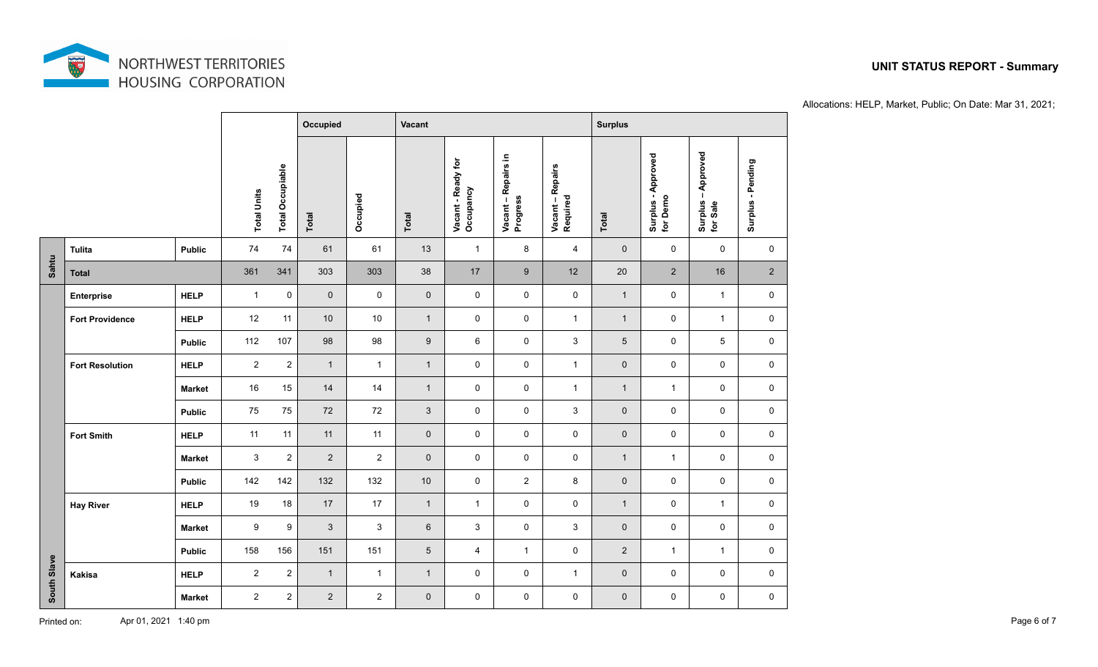

# **Occupied Vacant Vacant Surplus** Surplus – Approved<br>for Sale **for Demo Surplus – Approved Surplus - Approved Total**<br> **Occupied**<br> **Vacant - Ready for**<br> **Vacant – Repairs in Progress<br>
Progress<br>
Required<br>
Required** Surplus - Pending **Surplus - Pending Total Occupiable Total Occupiable Total Units Total Units Tulita Public** 74 74 61 61 13 1 8 4 0 0 0 0 **Sahtu Total** 361 341 303 303 38 17 9 12 20 2 16 2 **Enterprise HELP** 1 0 0 0 0 0 0 0 1 0 1 0 **Fort Providence HELP** 12 11 10 10 1 0 0 1 1 0 1 0 **Public** | 112 107 | 98 | 98 | 9 | 6 | 0 | 3 | 5 | 0 | 5 | 0 **Fort Resolution HELP** 2 2 1 1 1 0 0 1 0 0 0 0 **Market** | 16 15 | 14 | 1 | 0 | 0 | 1 | 1 | 1 | 0 | 0 **Public** | 75 75 | 72 | 72 | 3 | 0 | 0 | 3 | 0 | 0 | 0 | 0 | 0 **Fort Smith HELP** 11 11 11 11 0 0 0 0 0 0 0 0 **Market** | 3 2 | 2 | 2 | 0 | 0 | 0 | 0 | 1 | 1 | 0 | 0 **Public** | 142 142 | 132 | 132 | 10 | 0 | 2 | 8 | 0 | 0 | 0 | 0 **Hay River HELP** 19 18 17 17 1 1 0 0 1 0 1 0 **Market** | 9 9 | 3 | 3 | 6 | 3 | 0 | 3 | 0 | 0 | 0 | 0 **Public** | 158 156 | 151 | 151 | 5 | 4 | 1 | 0 | 2 | 1 | 1 | 0 **South Slave Kakisa HELP** 2 2 1 1 1 0 0 1 0 0 0 0 **Market** 2 2 2 2 0 0 0 0 0 0 0 0

Allocations: HELP, Market, Public; On Date: Mar 31, 2021;